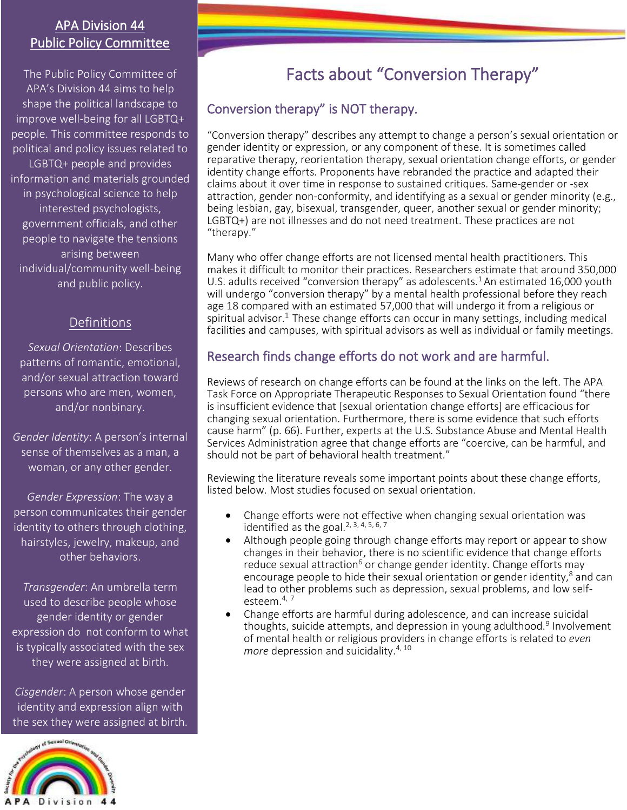# APA Division 44 Public Policy Committee

The Public Policy Committee of APA's Division 44 aims to help shape the political landscape to improve well-being for all LGBTQ+ people. This committee responds to political and policy issues related to LGBTQ+ people and provides information and materials grounded in psychological science to help interested psychologists, government officials, and other people to navigate the tensions arising between individual/community well-being and public policy.

# **Definitions**

*Sexual Orientation*: Describes patterns of romantic, emotional, and/or sexual attraction toward persons who are men, women, and/or nonbinary.

*Gender Identity*: A person's internal sense of themselves as a man, a woman, or any other gender.

*Gender Expression*: The way a person communicates their gender identity to others through clothing, hairstyles, jewelry, makeup, and other behaviors.

*Transgender*: An umbrella term used to describe people whose gender identity or gender expression do not conform to what is typically associated with the sex they were assigned at birth.

*Cisgender*: A person whose gender identity and expression align with the sex they were assigned at birth.



# Facts about "Conversion Therapy"

# Conversion therapy" is NOT therapy.

"Conversion therapy" describes any attempt to change a person's sexual orientation or gender identity or expression, or any component of these. It is sometimes called reparative therapy, reorientation therapy, sexual orientation change efforts, or gender identity change efforts. Proponents have rebranded the practice and adapted their claims about it over time in response to sustained critiques. Same-gender or -sex attraction, gender non-conformity, and identifying as a sexual or gender minority (e.g., being lesbian, gay, bisexual, transgender, queer, another sexual or gender minority; LGBTQ+) are not illnesses and do not need treatment. These practices are not "therapy."

Many who offer change efforts are not licensed mental health practitioners. This makes it difficult to monitor their practices. Researchers estimate that around 350,000 U.S. adults received "conversion therapy" as adolescents.<sup>1</sup> An estimated 16,000 youth will undergo "conversion therapy" by a mental health professional before they reach age 18 compared with an estimated 57,000 that will undergo it from a religious or spiritual advisor.<sup>1</sup> These change efforts can occur in many settings, including medical facilities and campuses, with spiritual advisors as well as individual or family meetings.

# Research finds change efforts do not work and are harmful.

Reviews of research on change efforts can be found at the links on the left. The APA Task Force on Appropriate Therapeutic Responses to Sexual Orientation found "there is insufficient evidence that [sexual orientation change efforts] are efficacious for changing sexual orientation. Furthermore, there is some evidence that such efforts cause harm" (p. 66). Further, experts at the U.S. Substance Abuse and Mental Health Services Administration agree that change efforts are "coercive, can be harmful, and should not be part of behavioral health treatment."

Reviewing the literature reveals some important points about these change efforts, listed below. Most studies focused on sexual orientation.

- Change efforts were not effective when changing sexual orientation was identified as the goal.<sup>2, 3, 4, 5, 6, 7</sup>
- Although people going through change efforts may report or appear to show changes in their behavior, there is no scientific evidence that change efforts reduce sexual attraction<sup>6</sup> or change gender identity. Change efforts may encourage people to hide their sexual orientation or gender identity, $8$  and can lead to other problems such as depression, sexual problems, and low selfesteem.4, <sup>7</sup>
- Change efforts are harmful during adolescence, and can increase suicidal thoughts, suicide attempts, and depression in young adulthood.<sup>9</sup> Involvement of mental health or religious providers in change efforts is related to *even more* depression and suicidality.<sup>4, 10</sup>